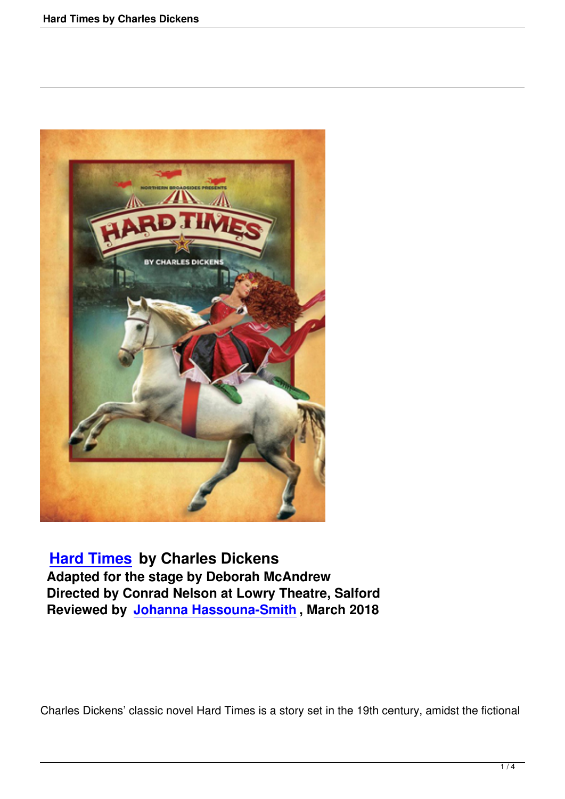

 **Hard Times by Charles Dickens Adapted for the stage by Deborah McAndrew Directed by Conrad Nelson at Lowry Theatre, Salford [Reviewed by](hard-times-by-charles-dickens.html) Johanna Hassouna-Smith , March 2018**

Charles Dickens' classic novel Hard Times is a story set in the 19th century, amidst the fictional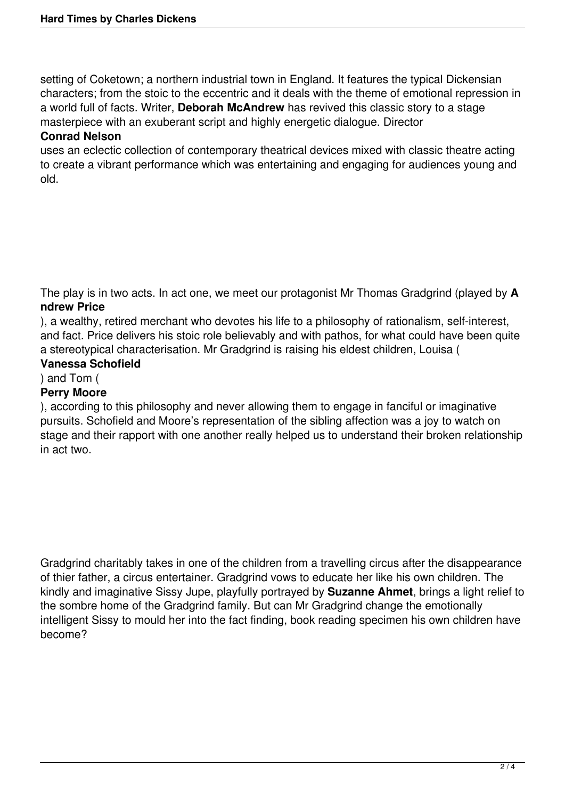setting of Coketown; a northern industrial town in England. It features the typical Dickensian characters; from the stoic to the eccentric and it deals with the theme of emotional repression in a world full of facts. Writer, **Deborah McAndrew** has revived this classic story to a stage masterpiece with an exuberant script and highly energetic dialogue. Director

## **Conrad Nelson**

uses an eclectic collection of contemporary theatrical devices mixed with classic theatre acting to create a vibrant performance which was entertaining and engaging for audiences young and old.

The play is in two acts. In act one, we meet our protagonist Mr Thomas Gradgrind (played by **A ndrew Price**

), a wealthy, retired merchant who devotes his life to a philosophy of rationalism, self-interest, and fact. Price delivers his stoic role believably and with pathos, for what could have been quite a stereotypical characterisation. Mr Gradgrind is raising his eldest children, Louisa (

## **Vanessa Schofield**

) and Tom (

## **Perry Moore**

), according to this philosophy and never allowing them to engage in fanciful or imaginative pursuits. Schofield and Moore's representation of the sibling affection was a joy to watch on stage and their rapport with one another really helped us to understand their broken relationship in act two.

Gradgrind charitably takes in one of the children from a travelling circus after the disappearance of thier father, a circus entertainer. Gradgrind vows to educate her like his own children. The kindly and imaginative Sissy Jupe, playfully portrayed by **Suzanne Ahmet**, brings a light relief to the sombre home of the Gradgrind family. But can Mr Gradgrind change the emotionally intelligent Sissy to mould her into the fact finding, book reading specimen his own children have become?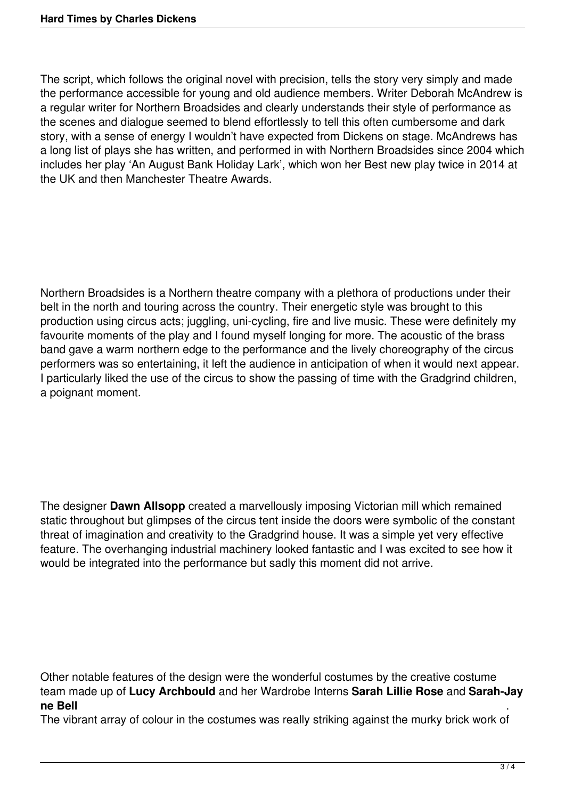The script, which follows the original novel with precision, tells the story very simply and made the performance accessible for young and old audience members. Writer Deborah McAndrew is a regular writer for Northern Broadsides and clearly understands their style of performance as the scenes and dialogue seemed to blend effortlessly to tell this often cumbersome and dark story, with a sense of energy I wouldn't have expected from Dickens on stage. McAndrews has a long list of plays she has written, and performed in with Northern Broadsides since 2004 which includes her play 'An August Bank Holiday Lark', which won her Best new play twice in 2014 at the UK and then Manchester Theatre Awards.

Northern Broadsides is a Northern theatre company with a plethora of productions under their belt in the north and touring across the country. Their energetic style was brought to this production using circus acts; juggling, uni-cycling, fire and live music. These were definitely my favourite moments of the play and I found myself longing for more. The acoustic of the brass band gave a warm northern edge to the performance and the lively choreography of the circus performers was so entertaining, it left the audience in anticipation of when it would next appear. I particularly liked the use of the circus to show the passing of time with the Gradgrind children, a poignant moment.

The designer **Dawn Allsopp** created a marvellously imposing Victorian mill which remained static throughout but glimpses of the circus tent inside the doors were symbolic of the constant threat of imagination and creativity to the Gradgrind house. It was a simple yet very effective feature. The overhanging industrial machinery looked fantastic and I was excited to see how it would be integrated into the performance but sadly this moment did not arrive.

Other notable features of the design were the wonderful costumes by the creative costume team made up of **Lucy Archbould** and her Wardrobe Interns **Sarah Lillie Rose** and **Sarah-Jay ne Bell** .

The vibrant array of colour in the costumes was really striking against the murky brick work of